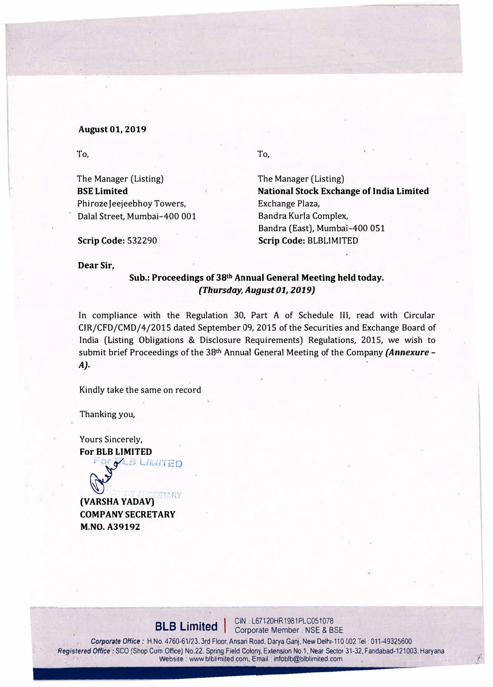#### August 01, 2019

To,

The Manager (Listing) BSE Limited Phiroze Jeejeebhoy Towers, Dalal Street, Mumbai-400 001 To,

The Manager (Listing) National Stock Exchange of India Limited Exchange Plaza, Bandra Kurla Complex, Bandra (East), Mumbai-400 051 Scrip Code: BLBLIMITED

Scrip Code: 532290

Dear Sir,

## Sub.: Proceedings of 38th Annual General Meeting held today. *(Thursday, August 01, 2019)*

In compliance with the Regulation 30, Part A of Schedule Ill, read with Circular CIR/CFD/CMD/4/2015 dated September 09, 2015 of the Securities and Exchange Board of India (Listing Obligations & Disclosure Requirements) Regulations, 2015, we wish to submit brief Proceedings of the 38th Annual General Meeting of the Company *(Annexure* - *A).* 

Kindly take the same on record

Thanking you,

Yours Sincerely, For.BLB LIMITED

*: � J* l.o ••• ·1 fEO

**ETARY** (VARSHA YADAV) COMPANY SECRETARY M.NO. A39192

**BLB Limited** | CIN : L67120HR1981PLC051078

*Corporate* Office: H.No. 4760-61/23. 3rd Floor. Ansari Road, Darya Ganj, New Delh,-110 002 Tel: 011-49325600 *Registered Office:* SCO (Shop Cum Office) No.22, Spring Field Colony, Extension No.1, Near Sector 31-32, Fandabad-121003. Haryana Website : www.blblimited.com, Email : infoblb@blblimited.com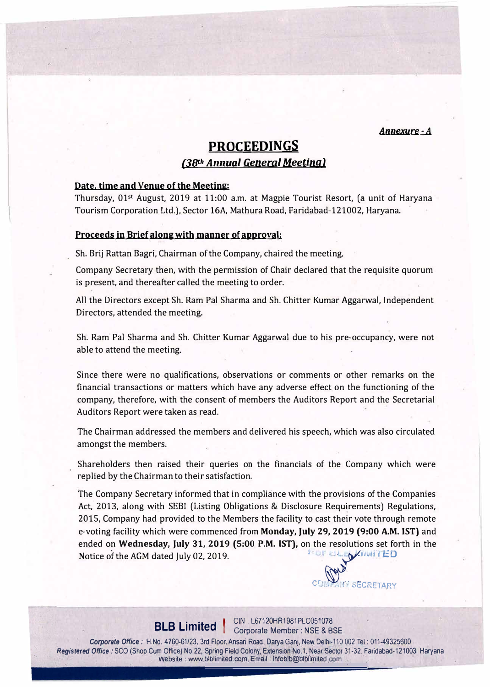*Annexure-A* 

# **PROCEEDINGS**

## *(3Bth Annual General Meeting)*

## **Date, time and Venue of the Meeting:**

Thursday, 01st August, 2019 at 11:00 a.m. at Magpie Tourist Resort, (a unit of Haryana Tourism Corporation Ltd.), Sector 16A, Mathura Road, Faridabad-121002, Haryana.

### Proceeds in Brief along with manner of approval:

Sh. Brij Rattan Bagri, Chairman of the Company, chaired the meeting.

Company Secretary then, with the permission of Chair declared that the requisite quorum is present, and thereafter called the meeting to order.

All the Directors except Sh. Ram Pal Sharma and Sh. Chitter Kumar Aggarwal, Independent Directors, attended the meeting.

Sh. Ram Pal Sharma and Sh. Chitter Kumar Aggarwal due to his pre-occupancy, were not able to attend the meeting.

Since there were no qualifications, observations or comments or other remarks on the financial transactions or matters which have any adverse effect on the functioning of the company, therefore, with the consent of members the Auditors Report and the Secretarial Auditors Report were taken as read.

The Chairman addressed the members and delivered his speech, which was also circulated amongst the members.

Shareholders then raised their queries on the financials of the Company which were replied by the Chairman to their satisfaction.

The Company Secretary informed that in compliance with the provisions of the Companies Act, 2013, along with SEBI (Listing Obligations & Disclosure Requirements) Regulations, 2015, Company had provided to the Members the facility to cast their vote through remote e-voting facility which were commenced from Monday, July 29, 2019 (9:00 A.M. IST) and ended on Wednesday, July 31, 2019 (5:00 P.M. IST), on the resolutions set forth in the Notice of the AGM dated July 02, 2019. '

E BLED ANNITED *r* • , 1, vECRET.ARY

**BLB Limited**  $\begin{array}{c} \text{CIN: L67120HR1981PLCO51078} \\ \text{Corrorate Member: NSF RBS \end{array}$ Corporate Member : NSE & BSE

Corporate *Office:* H.No. 4760-61/23, 3rd Floor. Ansari Road, Darya Ganj, New Oelhi-110 002 Tel: 011-49325600 Registered Office: SCO (Shop Cum Office) No.22, Spring Field Colony, Extension No.1, Near Sector 31-32, Faridabad-121003, Haryana · . Website : www.blblimited.com, Email : infoblb@blblimited.com , .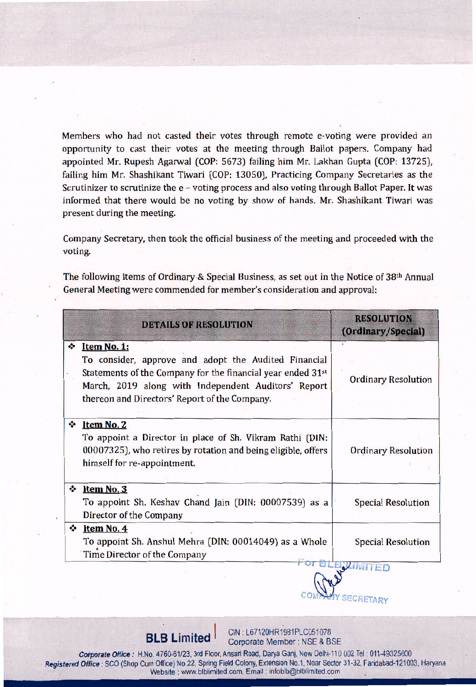Members who had not casted their votes through remote e-voting were provided an opportunity to cast their votes at the meeting through Ballot papers. Company had appointed Mr. Rupesh Agarwal (COP: 5673) failing him Mr. Lakhan Gupta (COP: 13725), failing him Mr. Shashikant Tiwari (COP: 13050), Practicing Company Secretaries as the Scrutinizer to scrutinize the e - voting process and also voting through Ballot Paper. It was informed that there would be no voting by show of hands. Mr. Shashikant Tiwari was present during the meeting.

Company Secretary, then took the official business of the meeting and proceeded with the voting.

The following items of Ordinary & Special Business, as set out in the Notice of 38th Annual General Meeting were commended for member's consideration and approval:

|                | <b>DETAILS OF RESOLUTION</b>                                                                                                                                                                                                                           | <b>RESOLUTION</b><br>(Ordinary/Special) |
|----------------|--------------------------------------------------------------------------------------------------------------------------------------------------------------------------------------------------------------------------------------------------------|-----------------------------------------|
| $\bullet$      | Item No. 1:<br>To consider, approve and adopt the Audited Financial<br>Statements of the Company for the financial year ended 31 <sup>st</sup><br>March, 2019 along with Independent Auditors' Report<br>thereon and Directors' Report of the Company. | <b>Ordinary Resolution</b>              |
| $\bullet$      | Item No. 2<br>To appoint a Director in place of Sh. Vikram Rathi (DIN:<br>00007325), who retires by rotation and being eligible, offers<br>himself for re-appointment.                                                                                 | <b>Ordinary Resolution</b>              |
| $\ddot{\cdot}$ | Item No. 3<br>To appoint Sh. Keshav Chand Jain (DIN: 00007539) as a<br>Director of the Company                                                                                                                                                         | <b>Special Resolution</b>               |
| ❖              | Item No. 4<br>To appoint Sh. Anshul Mehra (DIN: 00014049) as a Whole<br>Time Director of the Company                                                                                                                                                   | <b>Special Resolution</b><br>5.1        |

CIN: L67120HR1981PLC051078 **BLB Limited** Corporate Member: NSE & BSE

**SECRETARY** 

Corporate Office: H.No. 4760-61/23, 3rd Floor, Ansari Road, Darya Ganj, New Delhi-110 002 Tel: 011-49325600 Registered Office : SCO (Shop Cum Office) No.22, Spring Field Colony, Extension No.1, Near Sector 31-32, Faridabad-121003, Haryana Website: www.blblimited.com, Email: infoblb@blblimited.com